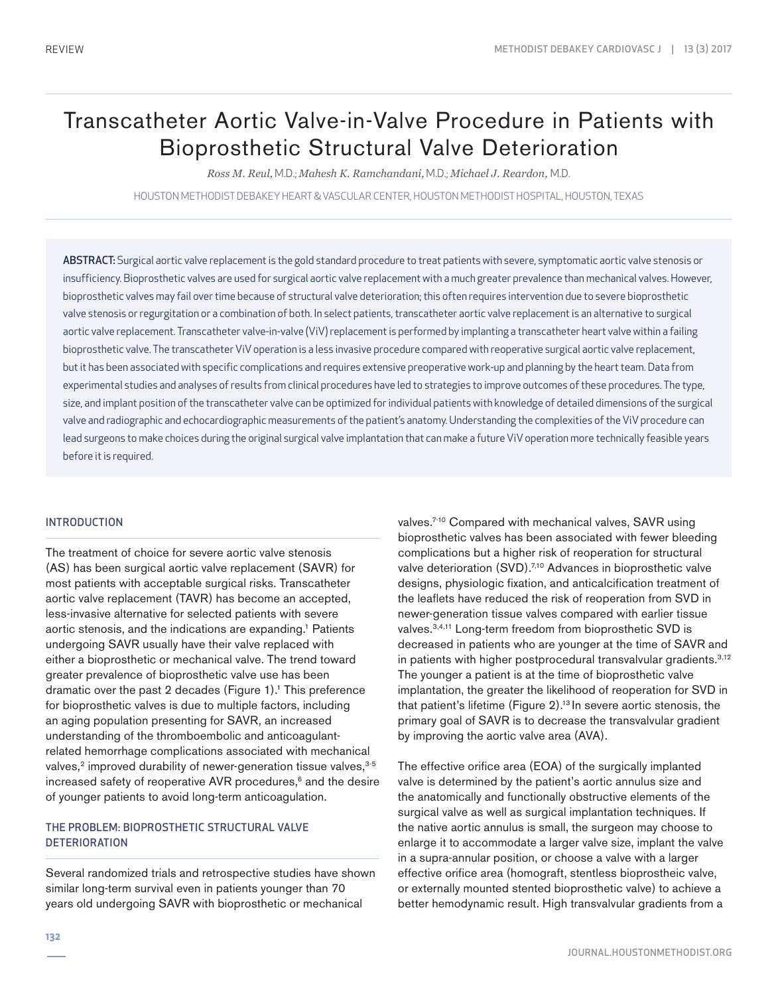# Transcatheter Aortic Valve-in-Valve Procedure in Patients with Bioprosthetic Structural Valve Deterioration

*Ross M. Reul,* M.D.; *Mahesh K. Ramchandani,* M.D.; *Michael J. Reardon,* M.D.

HOUSTON METHODIST DEBAKEY HEART & VASCULAR CENTER, HOUSTON METHODIST HOSPITAL, HOUSTON, TEXAS

ABSTRACT: Surgical aortic valve replacement is the gold standard procedure to treat patients with severe, symptomatic aortic valve stenosis or insufficiency. Bioprosthetic valves are used for surgical aortic valve replacement with a much greater prevalence than mechanical valves. However, bioprosthetic valves may fail over time because of structural valve deterioration; this often requires intervention due to severe bioprosthetic valve stenosis or regurgitation or a combination of both. In select patients, transcatheter aortic valve replacement is an alternative to surgical aortic valve replacement. Transcatheter valve-in-valve (ViV) replacement is performed by implanting a transcatheter heart valve within a failing bioprosthetic valve. The transcatheter ViV operation is a less invasive procedure compared with reoperative surgical aortic valve replacement, but it has been associated with specific complications and requires extensive preoperative work-up and planning by the heart team. Data from experimental studies and analyses of results from clinical procedures have led to strategies to improve outcomes of these procedures. The type, size, and implant position of the transcatheter valve can be optimized for individual patients with knowledge of detailed dimensions of the surgical valve and radiographic and echocardiographic measurements of the patient's anatomy. Understanding the complexities of the ViV procedure can lead surgeons to make choices during the original surgical valve implantation that can make a future ViV operation more technically feasible years before it is required.

#### INTRODUCTION

The treatment of choice for severe aortic valve stenosis (AS) has been surgical aortic valve replacement (SAVR) for most patients with acceptable surgical risks. Transcatheter aortic valve replacement (TAVR) has become an accepted, less-invasive alternative for selected patients with severe aortic stenosis, and the indications are expanding.<sup>1</sup> Patients undergoing SAVR usually have their valve replaced with either a bioprosthetic or mechanical valve. The trend toward greater prevalence of bioprosthetic valve use has been dramatic over the past 2 decades (Figure  $1$ ).<sup>1</sup> This preference for bioprosthetic valves is due to multiple factors, including an aging population presenting for SAVR, an increased understanding of the thromboembolic and anticoagulantrelated hemorrhage complications associated with mechanical valves,<sup>2</sup> improved durability of newer-generation tissue valves,<sup>3-5</sup> increased safety of reoperative AVR procedures,<sup>6</sup> and the desire of younger patients to avoid long-term anticoagulation.

# THE PROBLEM: BIOPROSTHETIC STRUCTURAL VALVE **DETERIORATION**

Several randomized trials and retrospective studies have shown similar long-term survival even in patients younger than 70 years old undergoing SAVR with bioprosthetic or mechanical

valves.<sup>7-10</sup> Compared with mechanical valves, SAVR using bioprosthetic valves has been associated with fewer bleeding complications but a higher risk of reoperation for structural valve deterioration (SVD).<sup>7,10</sup> Advances in bioprosthetic valve designs, physiologic fixation, and anticalcification treatment of the leaflets have reduced the risk of reoperation from SVD in newer-generation tissue valves compared with earlier tissue valves.3,4,11 Long-term freedom from bioprosthetic SVD is decreased in patients who are younger at the time of SAVR and in patients with higher postprocedural transvalvular gradients.<sup>3,12</sup> The younger a patient is at the time of bioprosthetic valve implantation, the greater the likelihood of reoperation for SVD in that patient's lifetime (Figure 2).<sup>13</sup> In severe aortic stenosis, the primary goal of SAVR is to decrease the transvalvular gradient by improving the aortic valve area (AVA).

The effective orifice area (EOA) of the surgically implanted valve is determined by the patient's aortic annulus size and the anatomically and functionally obstructive elements of the surgical valve as well as surgical implantation techniques. If the native aortic annulus is small, the surgeon may choose to enlarge it to accommodate a larger valve size, implant the valve in a supra-annular position, or choose a valve with a larger effective orifice area (homograft, stentless bioprostheic valve, or externally mounted stented bioprosthetic valve) to achieve a better hemodynamic result. High transvalvular gradients from a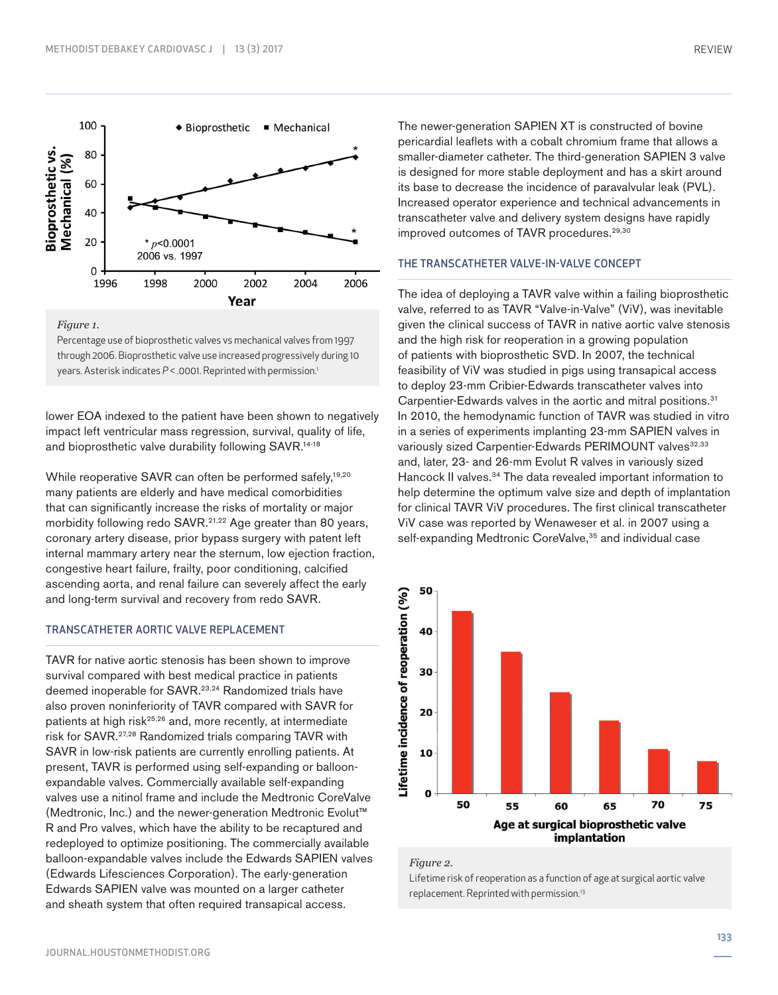

*Figure 1.*

Percentage use of bioprosthetic valves vs mechanical valves from 1997 through 2006. Bioprosthetic valve use increased progressively during 10 years. Asterisk indicates  $P < 0.0001$ . Reprinted with permission.<sup>1</sup>

lower EOA indexed to the patient have been shown to negatively impact left ventricular mass regression, survival, quality of life, and bioprosthetic valve durability following SAVR.<sup>14-18</sup>

While reoperative SAVR can often be performed safely,<sup>19,20</sup> many patients are elderly and have medical comorbidities that can significantly increase the risks of mortality or major morbidity following redo SAVR.<sup>21,22</sup> Age greater than 80 years, coronary artery disease, prior bypass surgery with patent left internal mammary artery near the sternum, low ejection fraction, congestive heart failure, frailty, poor conditioning, calcified ascending aorta, and renal failure can severely affect the early and long-term survival and recovery from redo SAVR.

#### TRANSCATHETER AORTIC VALVE REPLACEMENT

TAVR for native aortic stenosis has been shown to improve survival compared with best medical practice in patients deemed inoperable for SAVR.<sup>23,24</sup> Randomized trials have also proven noninferiority of TAVR compared with SAVR for patients at high risk<sup>25,26</sup> and, more recently, at intermediate risk for SAVR.27,28 Randomized trials comparing TAVR with SAVR in low-risk patients are currently enrolling patients. At present, TAVR is performed using self-expanding or balloonexpandable valves. Commercially available self-expanding valves use a nitinol frame and include the Medtronic CoreValve (Medtronic, Inc.) and the newer-generation Medtronic Evolut™ R and Pro valves, which have the ability to be recaptured and redeployed to optimize positioning. The commercially available balloon-expandable valves include the Edwards SAPIEN valves (Edwards Lifesciences Corporation). The early-generation Edwards SAPIEN valve was mounted on a larger catheter and sheath system that often required transapical access.

The newer-generation SAPIEN XT is constructed of bovine pericardial leaflets with a cobalt chromium frame that allows a smaller-diameter catheter. The third-generation SAPIEN 3 valve is designed for more stable deployment and has a skirt around its base to decrease the incidence of paravalvular leak (PVL). Increased operator experience and technical advancements in transcatheter valve and delivery system designs have rapidly improved outcomes of TAVR procedures.<sup>29,30</sup>

# THE TRANSCATHETER VALVE-IN-VALVE CONCEPT

The idea of deploying a TAVR valve within a failing bioprosthetic valve, referred to as TAVR "Valve-in-Valve" (ViV), was inevitable given the clinical success of TAVR in native aortic valve stenosis and the high risk for reoperation in a growing population of patients with bioprosthetic SVD. In 2007, the technical feasibility of ViV was studied in pigs using transapical access to deploy 23-mm Cribier-Edwards transcatheter valves into Carpentier-Edwards valves in the aortic and mitral positions.<sup>31</sup> In 2010, the hemodynamic function of TAVR was studied in vitro in a series of experiments implanting 23-mm SAPIEN valves in variously sized Carpentier-Edwards PERIMOUNT valves<sup>32,33</sup> and, later, 23- and 26-mm Evolut R valves in variously sized Hancock II valves.<sup>34</sup> The data revealed important information to help determine the optimum valve size and depth of implantation for clinical TAVR ViV procedures. The first clinical transcatheter ViV case was reported by Wenaweser et al. in 2007 using a self-expanding Medtronic CoreValve,<sup>35</sup> and individual case



*Figure 2.*

Lifetime risk of reoperation as a function of age at surgical aortic valve replacement. Reprinted with permission.13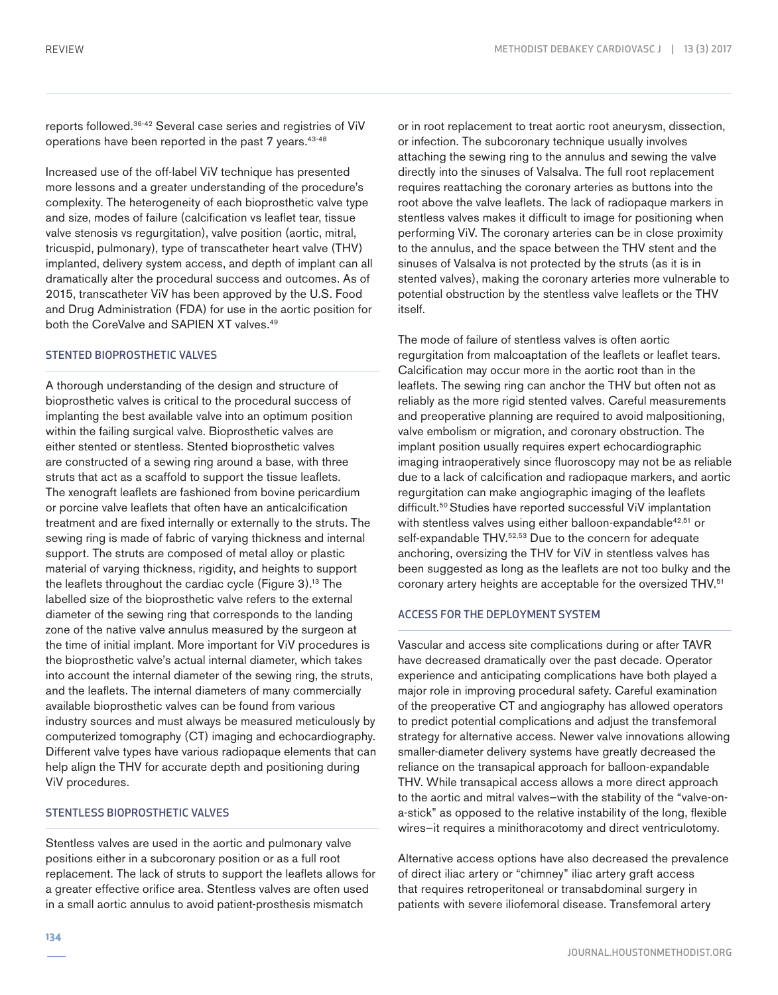reports followed.36-42 Several case series and registries of ViV operations have been reported in the past 7 years.<sup>43-48</sup>

Increased use of the off-label ViV technique has presented more lessons and a greater understanding of the procedure's complexity. The heterogeneity of each bioprosthetic valve type and size, modes of failure (calcification vs leaflet tear, tissue valve stenosis vs regurgitation), valve position (aortic, mitral, tricuspid, pulmonary), type of transcatheter heart valve (THV) implanted, delivery system access, and depth of implant can all dramatically alter the procedural success and outcomes. As of 2015, transcatheter ViV has been approved by the U.S. Food and Drug Administration (FDA) for use in the aortic position for both the CoreValve and SAPIEN XT valves.<sup>49</sup>

## STENTED BIOPROSTHETIC VALVES

A thorough understanding of the design and structure of bioprosthetic valves is critical to the procedural success of implanting the best available valve into an optimum position within the failing surgical valve. Bioprosthetic valves are either stented or stentless. Stented bioprosthetic valves are constructed of a sewing ring around a base, with three struts that act as a scaffold to support the tissue leaflets. The xenograft leaflets are fashioned from bovine pericardium or porcine valve leaflets that often have an anticalcification treatment and are fixed internally or externally to the struts. The sewing ring is made of fabric of varying thickness and internal support. The struts are composed of metal alloy or plastic material of varying thickness, rigidity, and heights to support the leaflets throughout the cardiac cycle (Figure 3).<sup>13</sup> The labelled size of the bioprosthetic valve refers to the external diameter of the sewing ring that corresponds to the landing zone of the native valve annulus measured by the surgeon at the time of initial implant. More important for ViV procedures is the bioprosthetic valve's actual internal diameter, which takes into account the internal diameter of the sewing ring, the struts, and the leaflets. The internal diameters of many commercially available bioprosthetic valves can be found from various industry sources and must always be measured meticulously by computerized tomography (CT) imaging and echocardiography. Different valve types have various radiopaque elements that can help align the THV for accurate depth and positioning during ViV procedures.

# STENTLESS BIOPROSTHETIC VALVES

Stentless valves are used in the aortic and pulmonary valve positions either in a subcoronary position or as a full root replacement. The lack of struts to support the leaflets allows for a greater effective orifice area. Stentless valves are often used in a small aortic annulus to avoid patient-prosthesis mismatch

or in root replacement to treat aortic root aneurysm, dissection, or infection. The subcoronary technique usually involves attaching the sewing ring to the annulus and sewing the valve directly into the sinuses of Valsalva. The full root replacement requires reattaching the coronary arteries as buttons into the root above the valve leaflets. The lack of radiopaque markers in stentless valves makes it difficult to image for positioning when performing ViV. The coronary arteries can be in close proximity to the annulus, and the space between the THV stent and the sinuses of Valsalva is not protected by the struts (as it is in stented valves), making the coronary arteries more vulnerable to potential obstruction by the stentless valve leaflets or the THV itself.

The mode of failure of stentless valves is often aortic regurgitation from malcoaptation of the leaflets or leaflet tears. Calcification may occur more in the aortic root than in the leaflets. The sewing ring can anchor the THV but often not as reliably as the more rigid stented valves. Careful measurements and preoperative planning are required to avoid malpositioning, valve embolism or migration, and coronary obstruction. The implant position usually requires expert echocardiographic imaging intraoperatively since fluoroscopy may not be as reliable due to a lack of calcification and radiopaque markers, and aortic regurgitation can make angiographic imaging of the leaflets difficult.<sup>50</sup> Studies have reported successful ViV implantation with stentless valves using either balloon-expandable<sup>42,51</sup> or self-expandable THV.<sup>52,53</sup> Due to the concern for adequate anchoring, oversizing the THV for ViV in stentless valves has been suggested as long as the leaflets are not too bulky and the coronary artery heights are acceptable for the oversized THV.<sup>51</sup>

# ACCESS FOR THE DEPLOYMENT SYSTEM

Vascular and access site complications during or after TAVR have decreased dramatically over the past decade. Operator experience and anticipating complications have both played a major role in improving procedural safety. Careful examination of the preoperative CT and angiography has allowed operators to predict potential complications and adjust the transfemoral strategy for alternative access. Newer valve innovations allowing smaller-diameter delivery systems have greatly decreased the reliance on the transapical approach for balloon-expandable THV. While transapical access allows a more direct approach to the aortic and mitral valves—with the stability of the "valve-ona-stick" as opposed to the relative instability of the long, flexible wires—it requires a minithoracotomy and direct ventriculotomy.

Alternative access options have also decreased the prevalence of direct iliac artery or "chimney" iliac artery graft access that requires retroperitoneal or transabdominal surgery in patients with severe iliofemoral disease. Transfemoral artery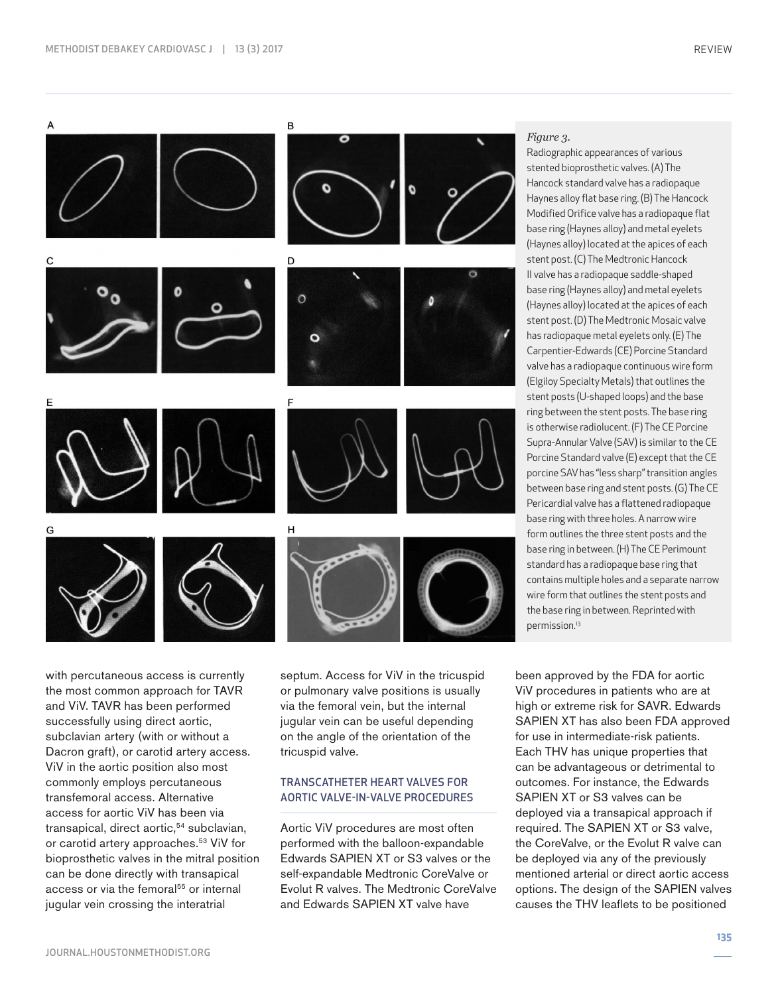

with percutaneous access is currently the most common approach for TAVR and ViV. TAVR has been performed successfully using direct aortic, subclavian artery (with or without a Dacron graft), or carotid artery access. ViV in the aortic position also most commonly employs percutaneous transfemoral access. Alternative access for aortic ViV has been via transapical, direct aortic,<sup>54</sup> subclavian, or carotid artery approaches.<sup>53</sup> ViV for bioprosthetic valves in the mitral position can be done directly with transapical access or via the femoral<sup>55</sup> or internal jugular vein crossing the interatrial

septum. Access for ViV in the tricuspid or pulmonary valve positions is usually via the femoral vein, but the internal jugular vein can be useful depending on the angle of the orientation of the tricuspid valve.

## TRANSCATHETER HEART VALVES FOR AORTIC VALVE-IN-VALVE PROCEDURES

Aortic ViV procedures are most often performed with the balloon-expandable Edwards SAPIEN XT or S3 valves or the self-expandable Medtronic CoreValve or Evolut R valves. The Medtronic CoreValve and Edwards SAPIEN XT valve have

# *Figure 3.*

Radiographic appearances of various stented bioprosthetic valves. (A) The Hancock standard valve has a radiopaque Haynes alloy flat base ring. (B) The Hancock Modified Orifice valve has a radiopaque flat base ring (Haynes alloy) and metal eyelets (Haynes alloy) located at the apices of each stent post. (C) The Medtronic Hancock II valve has a radiopaque saddle-shaped base ring (Haynes alloy) and metal eyelets (Haynes alloy) located at the apices of each stent post. (D) The Medtronic Mosaic valve has radiopaque metal eyelets only. (E) The Carpentier-Edwards (CE) Porcine Standard valve has a radiopaque continuous wire form (Elgiloy Specialty Metals) that outlines the stent posts (U-shaped loops) and the base ring between the stent posts. The base ring is otherwise radiolucent. (F) The CE Porcine Supra-Annular Valve (SAV) is similar to the CE Porcine Standard valve (E) except that the CE porcine SAV has "less sharp" transition angles between base ring and stent posts. (G) The CE Pericardial valve has a flattened radiopaque base ring with three holes. A narrow wire form outlines the three stent posts and the base ring in between. (H) The CE Perimount standard has a radiopaque base ring that contains multiple holes and a separate narrow wire form that outlines the stent posts and the base ring in between. Reprinted with permission.13

been approved by the FDA for aortic ViV procedures in patients who are at high or extreme risk for SAVR. Edwards SAPIEN XT has also been FDA approved for use in intermediate-risk patients. Each THV has unique properties that can be advantageous or detrimental to outcomes. For instance, the Edwards SAPIEN XT or S3 valves can be deployed via a transapical approach if required. The SAPIEN XT or S3 valve, the CoreValve, or the Evolut R valve can be deployed via any of the previously mentioned arterial or direct aortic access options. The design of the SAPIEN valves causes the THV leaflets to be positioned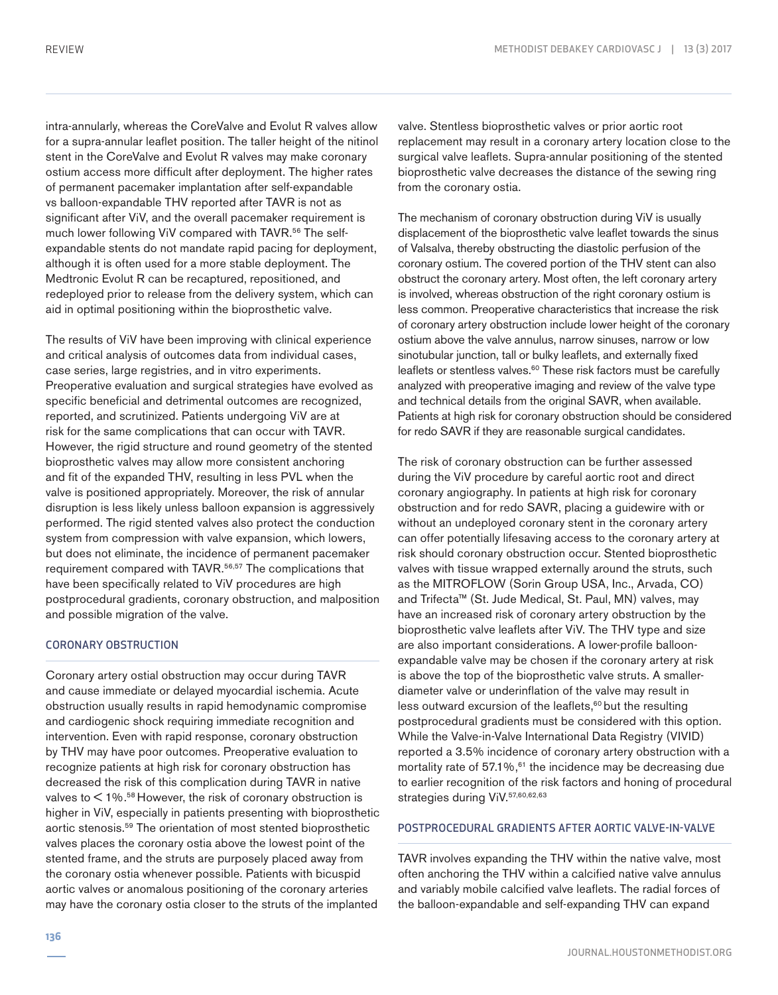intra-annularly, whereas the CoreValve and Evolut R valves allow for a supra-annular leaflet position. The taller height of the nitinol stent in the CoreValve and Evolut R valves may make coronary ostium access more difficult after deployment. The higher rates of permanent pacemaker implantation after self-expandable vs balloon-expandable THV reported after TAVR is not as significant after ViV, and the overall pacemaker requirement is much lower following ViV compared with TAVR.<sup>56</sup> The selfexpandable stents do not mandate rapid pacing for deployment, although it is often used for a more stable deployment. The Medtronic Evolut R can be recaptured, repositioned, and redeployed prior to release from the delivery system, which can aid in optimal positioning within the bioprosthetic valve.

The results of ViV have been improving with clinical experience and critical analysis of outcomes data from individual cases, case series, large registries, and in vitro experiments. Preoperative evaluation and surgical strategies have evolved as specific beneficial and detrimental outcomes are recognized, reported, and scrutinized. Patients undergoing ViV are at risk for the same complications that can occur with TAVR. However, the rigid structure and round geometry of the stented bioprosthetic valves may allow more consistent anchoring and fit of the expanded THV, resulting in less PVL when the valve is positioned appropriately. Moreover, the risk of annular disruption is less likely unless balloon expansion is aggressively performed. The rigid stented valves also protect the conduction system from compression with valve expansion, which lowers, but does not eliminate, the incidence of permanent pacemaker requirement compared with TAVR.56,57 The complications that have been specifically related to ViV procedures are high postprocedural gradients, coronary obstruction, and malposition and possible migration of the valve.

# CORONARY OBSTRUCTION

Coronary artery ostial obstruction may occur during TAVR and cause immediate or delayed myocardial ischemia. Acute obstruction usually results in rapid hemodynamic compromise and cardiogenic shock requiring immediate recognition and intervention. Even with rapid response, coronary obstruction by THV may have poor outcomes. Preoperative evaluation to recognize patients at high risk for coronary obstruction has decreased the risk of this complication during TAVR in native valves to  $<$  1%.<sup>58</sup> However, the risk of coronary obstruction is higher in ViV, especially in patients presenting with bioprosthetic aortic stenosis.59 The orientation of most stented bioprosthetic valves places the coronary ostia above the lowest point of the stented frame, and the struts are purposely placed away from the coronary ostia whenever possible. Patients with bicuspid aortic valves or anomalous positioning of the coronary arteries may have the coronary ostia closer to the struts of the implanted

valve. Stentless bioprosthetic valves or prior aortic root replacement may result in a coronary artery location close to the surgical valve leaflets. Supra-annular positioning of the stented bioprosthetic valve decreases the distance of the sewing ring from the coronary ostia.

The mechanism of coronary obstruction during ViV is usually displacement of the bioprosthetic valve leaflet towards the sinus of Valsalva, thereby obstructing the diastolic perfusion of the coronary ostium. The covered portion of the THV stent can also obstruct the coronary artery. Most often, the left coronary artery is involved, whereas obstruction of the right coronary ostium is less common. Preoperative characteristics that increase the risk of coronary artery obstruction include lower height of the coronary ostium above the valve annulus, narrow sinuses, narrow or low sinotubular junction, tall or bulky leaflets, and externally fixed leaflets or stentless valves.<sup>60</sup> These risk factors must be carefully analyzed with preoperative imaging and review of the valve type and technical details from the original SAVR, when available. Patients at high risk for coronary obstruction should be considered for redo SAVR if they are reasonable surgical candidates.

The risk of coronary obstruction can be further assessed during the ViV procedure by careful aortic root and direct coronary angiography. In patients at high risk for coronary obstruction and for redo SAVR, placing a guidewire with or without an undeployed coronary stent in the coronary artery can offer potentially lifesaving access to the coronary artery at risk should coronary obstruction occur. Stented bioprosthetic valves with tissue wrapped externally around the struts, such as the MITROFLOW (Sorin Group USA, Inc., Arvada, CO) and Trifecta™ (St. Jude Medical, St. Paul, MN) valves, may have an increased risk of coronary artery obstruction by the bioprosthetic valve leaflets after ViV. The THV type and size are also important considerations. A lower-profile balloonexpandable valve may be chosen if the coronary artery at risk is above the top of the bioprosthetic valve struts. A smallerdiameter valve or underinflation of the valve may result in less outward excursion of the leaflets,<sup>60</sup> but the resulting postprocedural gradients must be considered with this option. While the Valve-in-Valve International Data Registry (VIVID) reported a 3.5% incidence of coronary artery obstruction with a mortality rate of  $57.1\%$ ,  $61$  the incidence may be decreasing due to earlier recognition of the risk factors and honing of procedural strategies during ViV.57,60,62,63

## POSTPROCEDURAL GRADIENTS AFTER AORTIC VALVE-IN-VALVE

TAVR involves expanding the THV within the native valve, most often anchoring the THV within a calcified native valve annulus and variably mobile calcified valve leaflets. The radial forces of the balloon-expandable and self-expanding THV can expand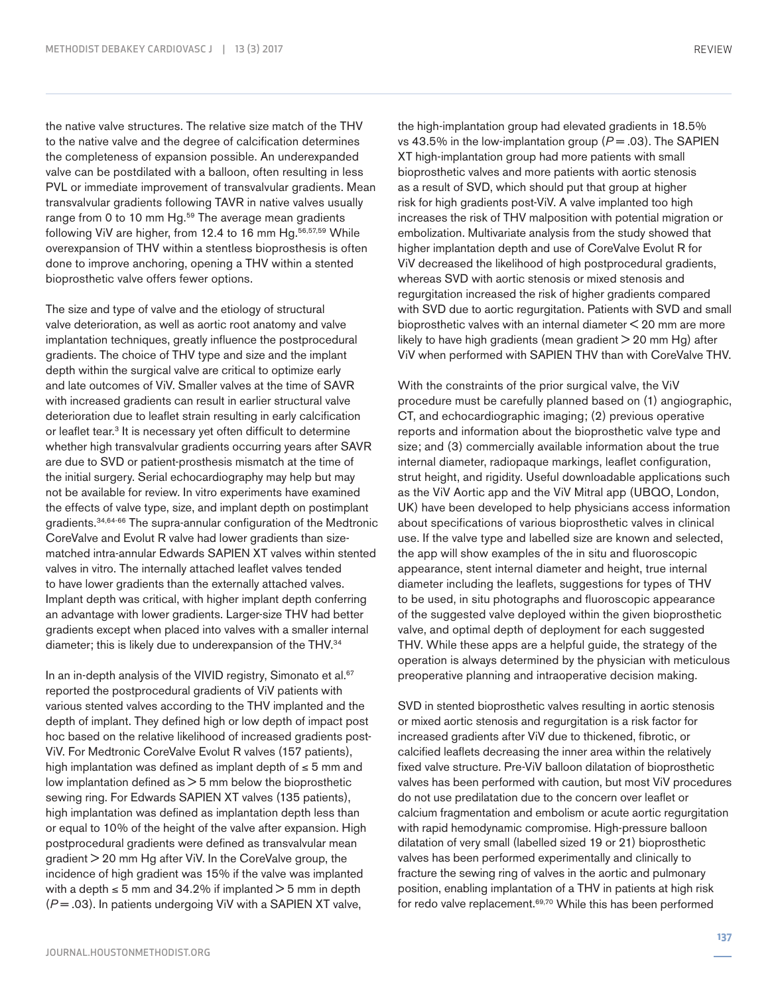the native valve structures. The relative size match of the THV to the native valve and the degree of calcification determines the completeness of expansion possible. An underexpanded valve can be postdilated with a balloon, often resulting in less PVL or immediate improvement of transvalvular gradients. Mean transvalvular gradients following TAVR in native valves usually range from 0 to 10 mm Hg.<sup>59</sup> The average mean gradients following ViV are higher, from 12.4 to 16 mm Hg.<sup>56,57,59</sup> While overexpansion of THV within a stentless bioprosthesis is often done to improve anchoring, opening a THV within a stented bioprosthetic valve offers fewer options.

The size and type of valve and the etiology of structural valve deterioration, as well as aortic root anatomy and valve implantation techniques, greatly influence the postprocedural gradients. The choice of THV type and size and the implant depth within the surgical valve are critical to optimize early and late outcomes of ViV. Smaller valves at the time of SAVR with increased gradients can result in earlier structural valve deterioration due to leaflet strain resulting in early calcification or leaflet tear.<sup>3</sup> It is necessary yet often difficult to determine whether high transvalvular gradients occurring years after SAVR are due to SVD or patient-prosthesis mismatch at the time of the initial surgery. Serial echocardiography may help but may not be available for review. In vitro experiments have examined the effects of valve type, size, and implant depth on postimplant gradients.34,64-66 The supra-annular configuration of the Medtronic CoreValve and Evolut R valve had lower gradients than sizematched intra-annular Edwards SAPIEN XT valves within stented valves in vitro. The internally attached leaflet valves tended to have lower gradients than the externally attached valves. Implant depth was critical, with higher implant depth conferring an advantage with lower gradients. Larger-size THV had better gradients except when placed into valves with a smaller internal diameter; this is likely due to underexpansion of the THV.34

In an in-depth analysis of the VIVID registry, Simonato et al.<sup>67</sup> reported the postprocedural gradients of ViV patients with various stented valves according to the THV implanted and the depth of implant. They defined high or low depth of impact post hoc based on the relative likelihood of increased gradients post-ViV. For Medtronic CoreValve Evolut R valves (157 patients), high implantation was defined as implant depth of ≤ 5 mm and low implantation defined as  $>$  5 mm below the bioprosthetic sewing ring. For Edwards SAPIEN XT valves (135 patients), high implantation was defined as implantation depth less than or equal to 10% of the height of the valve after expansion. High postprocedural gradients were defined as transvalvular mean gradient > 20 mm Hg after ViV. In the CoreValve group, the incidence of high gradient was 15% if the valve was implanted with a depth  $\leq 5$  mm and 34.2% if implanted  $> 5$  mm in depth (*P* = .03). In patients undergoing ViV with a SAPIEN XT valve,

the high-implantation group had elevated gradients in 18.5% vs 43.5% in the low-implantation group  $(P = .03)$ . The SAPIEN XT high-implantation group had more patients with small bioprosthetic valves and more patients with aortic stenosis as a result of SVD, which should put that group at higher risk for high gradients post-ViV. A valve implanted too high increases the risk of THV malposition with potential migration or embolization. Multivariate analysis from the study showed that higher implantation depth and use of CoreValve Evolut R for ViV decreased the likelihood of high postprocedural gradients, whereas SVD with aortic stenosis or mixed stenosis and regurgitation increased the risk of higher gradients compared with SVD due to aortic regurgitation. Patients with SVD and small bioprosthetic valves with an internal diameter < 20 mm are more likely to have high gradients (mean gradient  $>$  20 mm Hg) after ViV when performed with SAPIEN THV than with CoreValve THV.

With the constraints of the prior surgical valve, the ViV procedure must be carefully planned based on (1) angiographic, CT, and echocardiographic imaging; (2) previous operative reports and information about the bioprosthetic valve type and size; and (3) commercially available information about the true internal diameter, radiopaque markings, leaflet configuration, strut height, and rigidity. Useful downloadable applications such as the ViV Aortic app and the ViV Mitral app (UBQO, London, UK) have been developed to help physicians access information about specifications of various bioprosthetic valves in clinical use. If the valve type and labelled size are known and selected, the app will show examples of the in situ and fluoroscopic appearance, stent internal diameter and height, true internal diameter including the leaflets, suggestions for types of THV to be used, in situ photographs and fluoroscopic appearance of the suggested valve deployed within the given bioprosthetic valve, and optimal depth of deployment for each suggested THV. While these apps are a helpful guide, the strategy of the operation is always determined by the physician with meticulous preoperative planning and intraoperative decision making.

SVD in stented bioprosthetic valves resulting in aortic stenosis or mixed aortic stenosis and regurgitation is a risk factor for increased gradients after ViV due to thickened, fibrotic, or calcified leaflets decreasing the inner area within the relatively fixed valve structure. Pre-ViV balloon dilatation of bioprosthetic valves has been performed with caution, but most ViV procedures do not use predilatation due to the concern over leaflet or calcium fragmentation and embolism or acute aortic regurgitation with rapid hemodynamic compromise. High-pressure balloon dilatation of very small (labelled sized 19 or 21) bioprosthetic valves has been performed experimentally and clinically to fracture the sewing ring of valves in the aortic and pulmonary position, enabling implantation of a THV in patients at high risk for redo valve replacement.69,70 While this has been performed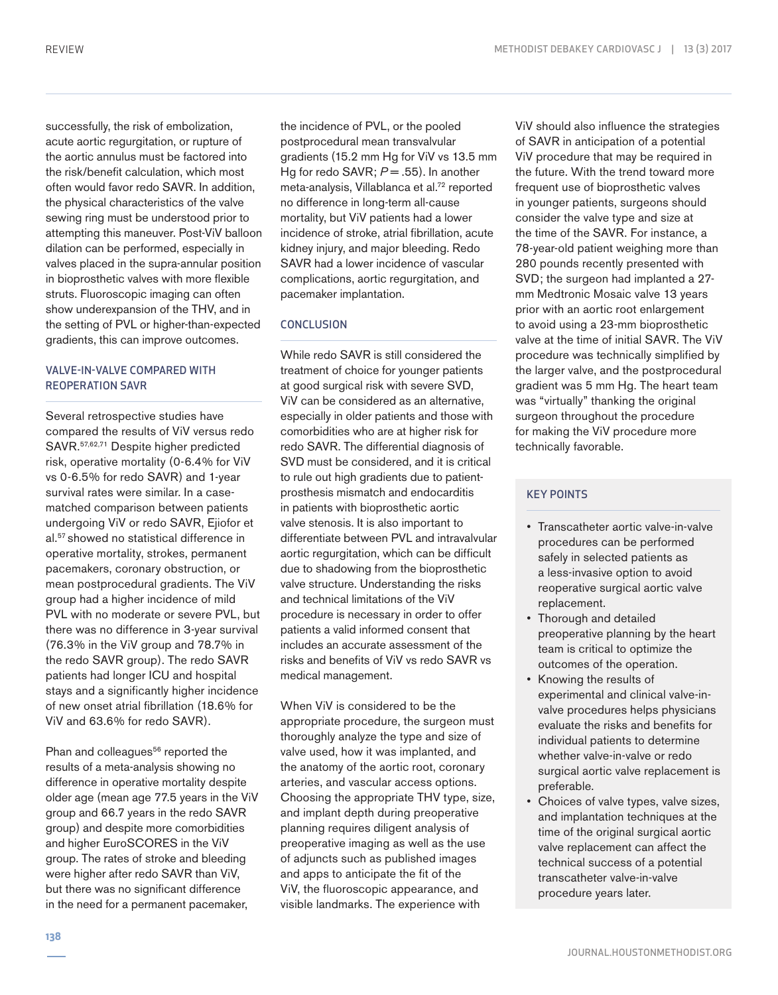successfully, the risk of embolization, acute aortic regurgitation, or rupture of the aortic annulus must be factored into the risk/benefit calculation, which most often would favor redo SAVR. In addition, the physical characteristics of the valve sewing ring must be understood prior to attempting this maneuver. Post-ViV balloon dilation can be performed, especially in valves placed in the supra-annular position in bioprosthetic valves with more flexible struts. Fluoroscopic imaging can often show underexpansion of the THV, and in the setting of PVL or higher-than-expected gradients, this can improve outcomes.

# VALVE-IN-VALVE COMPARED WITH REOPERATION SAVR

Several retrospective studies have compared the results of ViV versus redo SAVR.57,62,71 Despite higher predicted risk, operative mortality (0-6.4% for ViV vs 0-6.5% for redo SAVR) and 1-year survival rates were similar. In a casematched comparison between patients undergoing ViV or redo SAVR, Ejiofor et al.57 showed no statistical difference in operative mortality, strokes, permanent pacemakers, coronary obstruction, or mean postprocedural gradients. The ViV group had a higher incidence of mild PVL with no moderate or severe PVL, but there was no difference in 3-year survival (76.3% in the ViV group and 78.7% in the redo SAVR group). The redo SAVR patients had longer ICU and hospital stays and a significantly higher incidence of new onset atrial fibrillation (18.6% for ViV and 63.6% for redo SAVR).

Phan and colleagues<sup>56</sup> reported the results of a meta-analysis showing no difference in operative mortality despite older age (mean age 77.5 years in the ViV group and 66.7 years in the redo SAVR group) and despite more comorbidities and higher EuroSCORES in the ViV group. The rates of stroke and bleeding were higher after redo SAVR than ViV, but there was no significant difference in the need for a permanent pacemaker,

the incidence of PVL, or the pooled postprocedural mean transvalvular gradients (15.2 mm Hg for ViV vs 13.5 mm Hg for redo SAVR;  $P = .55$ ). In another meta-analysis, Villablanca et al.<sup>72</sup> reported no difference in long-term all-cause mortality, but ViV patients had a lower incidence of stroke, atrial fibrillation, acute kidney injury, and major bleeding. Redo SAVR had a lower incidence of vascular complications, aortic regurgitation, and pacemaker implantation.

# **CONCLUSION**

While redo SAVR is still considered the treatment of choice for younger patients at good surgical risk with severe SVD, ViV can be considered as an alternative, especially in older patients and those with comorbidities who are at higher risk for redo SAVR. The differential diagnosis of SVD must be considered, and it is critical to rule out high gradients due to patientprosthesis mismatch and endocarditis in patients with bioprosthetic aortic valve stenosis. It is also important to differentiate between PVL and intravalvular aortic regurgitation, which can be difficult due to shadowing from the bioprosthetic valve structure. Understanding the risks and technical limitations of the ViV procedure is necessary in order to offer patients a valid informed consent that includes an accurate assessment of the risks and benefits of ViV vs redo SAVR vs medical management.

When ViV is considered to be the appropriate procedure, the surgeon must thoroughly analyze the type and size of valve used, how it was implanted, and the anatomy of the aortic root, coronary arteries, and vascular access options. Choosing the appropriate THV type, size, and implant depth during preoperative planning requires diligent analysis of preoperative imaging as well as the use of adjuncts such as published images and apps to anticipate the fit of the ViV, the fluoroscopic appearance, and visible landmarks. The experience with

ViV should also influence the strategies of SAVR in anticipation of a potential ViV procedure that may be required in the future. With the trend toward more frequent use of bioprosthetic valves in younger patients, surgeons should consider the valve type and size at the time of the SAVR. For instance, a 78-year-old patient weighing more than 280 pounds recently presented with SVD; the surgeon had implanted a 27 mm Medtronic Mosaic valve 13 years prior with an aortic root enlargement to avoid using a 23-mm bioprosthetic valve at the time of initial SAVR. The ViV procedure was technically simplified by the larger valve, and the postprocedural gradient was 5 mm Hg. The heart team was "virtually" thanking the original surgeon throughout the procedure for making the ViV procedure more technically favorable.

## KEY POINTS

- Transcatheter aortic valve-in-valve procedures can be performed safely in selected patients as a less-invasive option to avoid reoperative surgical aortic valve replacement.
- Thorough and detailed preoperative planning by the heart team is critical to optimize the outcomes of the operation.
- Knowing the results of experimental and clinical valve-invalve procedures helps physicians evaluate the risks and benefits for individual patients to determine whether valve-in-valve or redo surgical aortic valve replacement is preferable.
- Choices of valve types, valve sizes, and implantation techniques at the time of the original surgical aortic valve replacement can affect the technical success of a potential transcatheter valve-in-valve procedure years later.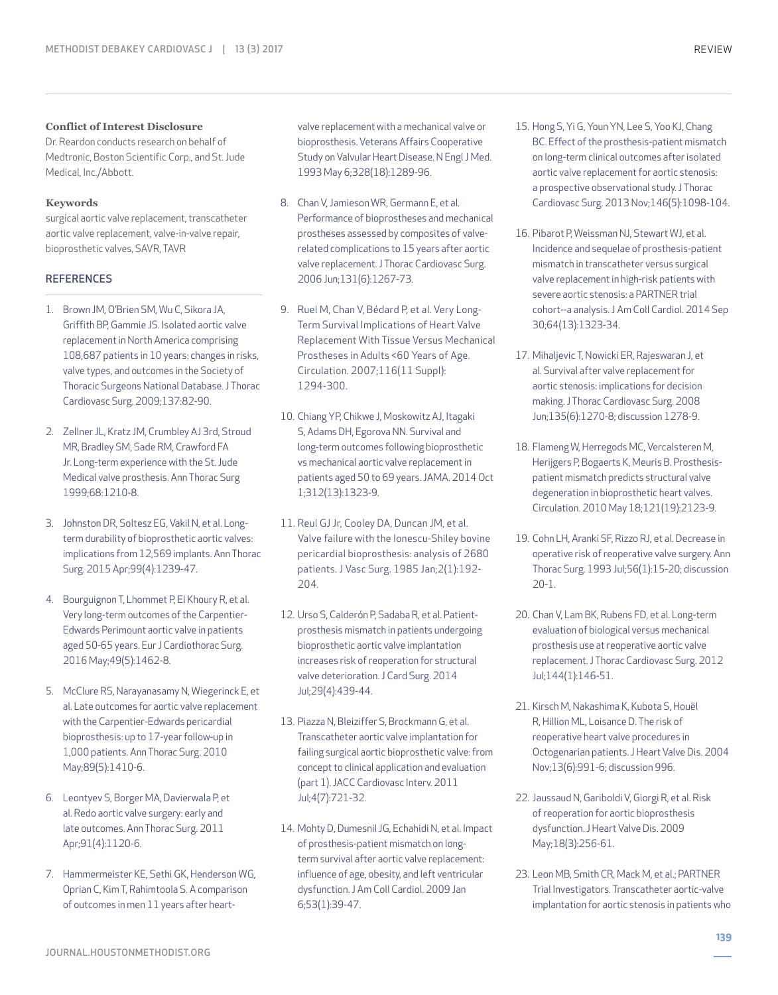#### **Conflict of Interest Disclosure**

Dr. Reardon conducts research on behalf of Medtronic, Boston Scientific Corp., and St. Jude Medical, Inc./Abbott.

#### **Keywords**

surgical aortic valve replacement, transcatheter aortic valve replacement, valve-in-valve repair, bioprosthetic valves, SAVR, TAVR

#### **REFERENCES**

- 1. Brown JM, O'Brien SM, Wu C, Sikora JA, Griffith BP, Gammie JS. Isolated aortic valve replacement in North America comprising 108,687 patients in 10 years: changes in risks, valve types, and outcomes in the Society of Thoracic Surgeons National Database. J Thorac Cardiovasc Surg. 2009;137:82-90.
- 2. Zellner JL, Kratz JM, Crumbley AJ 3rd, Stroud MR, Bradley SM, Sade RM, Crawford FA Jr. Long-term experience with the St. Jude Medical valve prosthesis. Ann Thorac Surg 1999;68:1210-8.
- 3. Johnston DR, Soltesz EG, Vakil N, et al. Longterm durability of bioprosthetic aortic valves: implications from 12,569 implants. Ann Thorac Surg. 2015 Apr;99(4):1239-47.
- 4. Bourguignon T, Lhommet P, El Khoury R, et al. Very long-term outcomes of the Carpentier-Edwards Perimount aortic valve in patients aged 50-65 years. Eur J Cardiothorac Surg. 2016 May;49(5):1462-8.
- 5. McClure RS, Narayanasamy N, Wiegerinck E, et al. Late outcomes for aortic valve replacement with the Carpentier-Edwards pericardial bioprosthesis: up to 17-year follow-up in 1,000 patients. Ann Thorac Surg. 2010 May;89(5):1410-6.
- 6. Leontyev S, Borger MA, Davierwala P, et al. Redo aortic valve surgery: early and late outcomes. Ann Thorac Surg. 2011 Apr;91(4):1120-6.
- 7. Hammermeister KE, Sethi GK, Henderson WG, Oprian C, Kim T, Rahimtoola S. A comparison of outcomes in men 11 years after heart-

valve replacement with a mechanical valve or bioprosthesis. Veterans Affairs Cooperative Study on Valvular Heart Disease. N Engl J Med. 1993 May 6;328(18):1289-96.

- 8. Chan V, Jamieson WR, Germann E, et al. Performance of bioprostheses and mechanical prostheses assessed by composites of valverelated complications to 15 years after aortic valve replacement. J Thorac Cardiovasc Surg. 2006 Jun;131(6):1267-73.
- 9. Ruel M, Chan V, Bédard P, et al. Very Long-Term Survival Implications of Heart Valve Replacement With Tissue Versus Mechanical Prostheses in Adults <60 Years of Age. Circulation. 2007;116(11 Suppl): 1294-300.
- 10. Chiang YP, Chikwe J, Moskowitz AJ, Itagaki S, Adams DH, Egorova NN. Survival and long-term outcomes following bioprosthetic vs mechanical aortic valve replacement in patients aged 50 to 69 years. JAMA. 2014 Oct 1;312(13):1323-9.
- 11. Reul GJ Jr, Cooley DA, Duncan JM, et al. Valve failure with the Ionescu-Shiley bovine pericardial bioprosthesis: analysis of 2680 patients. J Vasc Surg. 1985 Jan;2(1):192- 204.
- 12. Urso S, Calderón P, Sadaba R, et al. Patientprosthesis mismatch in patients undergoing bioprosthetic aortic valve implantation increases risk of reoperation for structural valve deterioration. J Card Surg. 2014 Jul;29(4):439-44.
- 13. Piazza N, Bleiziffer S, Brockmann G, et al. Transcatheter aortic valve implantation for failing surgical aortic bioprosthetic valve: from concept to clinical application and evaluation (part 1). JACC Cardiovasc Interv. 2011 Jul;4(7):721-32.
- 14. Mohty D, Dumesnil JG, Echahidi N, et al. Impact of prosthesis-patient mismatch on longterm survival after aortic valve replacement: influence of age, obesity, and left ventricular dysfunction. J Am Coll Cardiol. 2009 Jan 6;53(1):39-47.
- 15. Hong S, Yi G, Youn YN, Lee S, Yoo KJ, Chang BC. Effect of the prosthesis-patient mismatch on long-term clinical outcomes after isolated aortic valve replacement for aortic stenosis: a prospective observational study. J Thorac Cardiovasc Surg. 2013 Nov;146(5):1098-104.
- 16. Pibarot P, Weissman NJ, Stewart WJ, et al. Incidence and sequelae of prosthesis-patient mismatch in transcatheter versus surgical valve replacement in high-risk patients with severe aortic stenosis: a PARTNER trial cohort--a analysis. J Am Coll Cardiol. 2014 Sep 30;64(13):1323-34.
- 17. Mihaljevic T, Nowicki ER, Rajeswaran J, et al. Survival after valve replacement for aortic stenosis: implications for decision making. J Thorac Cardiovasc Surg. 2008 Jun;135(6):1270-8; discussion 1278-9.
- 18. Flameng W, Herregods MC, Vercalsteren M, Herijgers P, Bogaerts K, Meuris B. Prosthesispatient mismatch predicts structural valve degeneration in bioprosthetic heart valves. Circulation. 2010 May 18;121(19):2123-9.
- 19. Cohn LH, Aranki SF, Rizzo RJ, et al. Decrease in operative risk of reoperative valve surgery. Ann Thorac Surg. 1993 Jul;56(1):15-20; discussion 20-1.
- 20. Chan V, Lam BK, Rubens FD, et al. Long-term evaluation of biological versus mechanical prosthesis use at reoperative aortic valve replacement. J Thorac Cardiovasc Surg. 2012 Jul;144(1):146-51.
- 21. Kirsch M, Nakashima K, Kubota S, Houël R, Hillion ML, Loisance D. The risk of reoperative heart valve procedures in Octogenarian patients. J Heart Valve Dis. 2004 Nov;13(6):991-6; discussion 996.
- 22. Jaussaud N, Gariboldi V, Giorgi R, et al. Risk of reoperation for aortic bioprosthesis dysfunction. J Heart Valve Dis. 2009 May;18(3):256-61.
- 23. Leon MB, Smith CR, Mack M, et al.; PARTNER Trial Investigators. Transcatheter aortic-valve implantation for aortic stenosis in patients who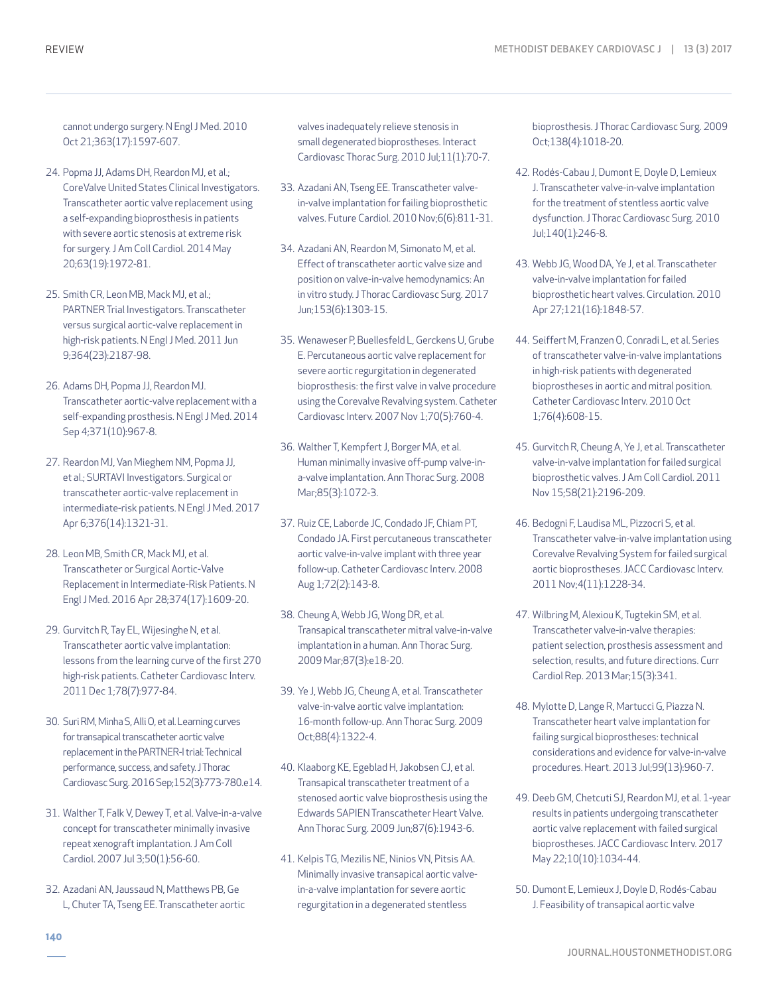cannot undergo surgery. N Engl J Med. 2010 Oct 21;363(17):1597-607.

- 24. Popma JJ, Adams DH, Reardon MJ, et al.; CoreValve United States Clinical Investigators. Transcatheter aortic valve replacement using a self-expanding bioprosthesis in patients with severe aortic stenosis at extreme risk for surgery. J Am Coll Cardiol. 2014 May 20;63(19):1972-81.
- 25. Smith CR, Leon MB, Mack MJ, et al.; PARTNER Trial Investigators. Transcatheter versus surgical aortic-valve replacement in high-risk patients. N Engl J Med. 2011 Jun 9;364(23):2187-98.
- 26. Adams DH, Popma JJ, Reardon MJ. Transcatheter aortic-valve replacement with a self-expanding prosthesis. N Engl J Med. 2014 Sep 4;371(10):967-8.
- 27. Reardon MJ, Van Mieghem NM, Popma JJ, et al.; SURTAVI Investigators. Surgical or transcatheter aortic-valve replacement in intermediate-risk patients. N Engl J Med. 2017 Apr 6;376(14):1321-31.
- 28. Leon MB, Smith CR, Mack MJ, et al. Transcatheter or Surgical Aortic-Valve Replacement in Intermediate-Risk Patients. N Engl J Med. 2016 Apr 28;374(17):1609-20.
- 29. Gurvitch R, Tay EL, Wijesinghe N, et al. Transcatheter aortic valve implantation: lessons from the learning curve of the first 270 high-risk patients. Catheter Cardiovasc Interv. 2011 Dec 1;78(7):977-84.
- 30. Suri RM, Minha S, Alli O, et al. Learning curves for transapical transcatheter aortic valve replacement in the PARTNER-I trial: Technical performance, success, and safety. J Thorac Cardiovasc Surg. 2016 Sep;152(3):773-780.e14.
- 31. Walther T, Falk V, Dewey T, et al. Valve-in-a-valve concept for transcatheter minimally invasive repeat xenograft implantation. J Am Coll Cardiol. 2007 Jul 3;50(1):56-60.
- 32. Azadani AN, Jaussaud N, Matthews PB, Ge L, Chuter TA, Tseng EE. Transcatheter aortic

valves inadequately relieve stenosis in small degenerated bioprostheses. Interact Cardiovasc Thorac Surg. 2010 Jul;11(1):70-7.

- 33. Azadani AN, Tseng EE. Transcatheter valvein-valve implantation for failing bioprosthetic valves. Future Cardiol. 2010 Nov;6(6):811-31.
- 34. Azadani AN, Reardon M, Simonato M, et al. Effect of transcatheter aortic valve size and position on valve-in-valve hemodynamics: An in vitro study. J Thorac Cardiovasc Surg. 2017 Jun;153(6):1303-15.
- 35. Wenaweser P, Buellesfeld L, Gerckens U, Grube E. Percutaneous aortic valve replacement for severe aortic regurgitation in degenerated bioprosthesis: the first valve in valve procedure using the Corevalve Revalving system. Catheter Cardiovasc Interv. 2007 Nov 1;70(5):760-4.
- 36. Walther T, Kempfert J, Borger MA, et al. Human minimally invasive off-pump valve-ina-valve implantation. Ann Thorac Surg. 2008 Mar;85(3):1072-3.
- 37. Ruiz CE, Laborde JC, Condado JF, Chiam PT, Condado JA. First percutaneous transcatheter aortic valve-in-valve implant with three year follow-up. Catheter Cardiovasc Interv. 2008 Aug 1;72(2):143-8.
- 38. Cheung A, Webb JG, Wong DR, et al. Transapical transcatheter mitral valve-in-valve implantation in a human. Ann Thorac Surg. 2009 Mar;87(3):e18-20.
- 39. Ye J, Webb JG, Cheung A, et al. Transcatheter valve-in-valve aortic valve implantation: 16-month follow-up. Ann Thorac Surg. 2009 Oct;88(4):1322-4.
- 40. Klaaborg KE, Egeblad H, Jakobsen CJ, et al. Transapical transcatheter treatment of a stenosed aortic valve bioprosthesis using the Edwards SAPIEN Transcatheter Heart Valve. Ann Thorac Surg. 2009 Jun;87(6):1943-6.
- 41. Kelpis TG, Mezilis NE, Ninios VN, Pitsis AA. Minimally invasive transapical aortic valvein-a-valve implantation for severe aortic regurgitation in a degenerated stentless

bioprosthesis. J Thorac Cardiovasc Surg. 2009 Oct;138(4):1018-20.

- 42. Rodés-Cabau J, Dumont E, Doyle D, Lemieux J. Transcatheter valve-in-valve implantation for the treatment of stentless aortic valve dysfunction. J Thorac Cardiovasc Surg. 2010 Jul;140(1):246-8.
- 43. Webb JG, Wood DA, Ye J, et al. Transcatheter valve-in-valve implantation for failed bioprosthetic heart valves. Circulation. 2010 Apr 27;121(16):1848-57.
- 44. Seiffert M, Franzen O, Conradi L, et al. Series of transcatheter valve-in-valve implantations in high-risk patients with degenerated bioprostheses in aortic and mitral position. Catheter Cardiovasc Interv. 2010 Oct 1;76(4):608-15.
- 45. Gurvitch R, Cheung A, Ye J, et al. Transcatheter valve-in-valve implantation for failed surgical bioprosthetic valves. J Am Coll Cardiol. 2011 Nov 15;58(21):2196-209.
- 46. Bedogni F, Laudisa ML, Pizzocri S, et al. Transcatheter valve-in-valve implantation using Corevalve Revalving System for failed surgical aortic bioprostheses. JACC Cardiovasc Interv. 2011 Nov;4(11):1228-34.
- 47. Wilbring M, Alexiou K, Tugtekin SM, et al. Transcatheter valve-in-valve therapies: patient selection, prosthesis assessment and selection, results, and future directions. Curr Cardiol Rep. 2013 Mar;15(3):341.
- 48. Mylotte D, Lange R, Martucci G, Piazza N. Transcatheter heart valve implantation for failing surgical bioprostheses: technical considerations and evidence for valve-in-valve procedures. Heart. 2013 Jul;99(13):960-7.
- 49. Deeb GM, Chetcuti SJ, Reardon MJ, et al. 1-year results in patients undergoing transcatheter aortic valve replacement with failed surgical bioprostheses. JACC Cardiovasc Interv. 2017 May 22;10(10):1034-44.
- 50. Dumont E, Lemieux J, Doyle D, Rodés-Cabau J. Feasibility of transapical aortic valve